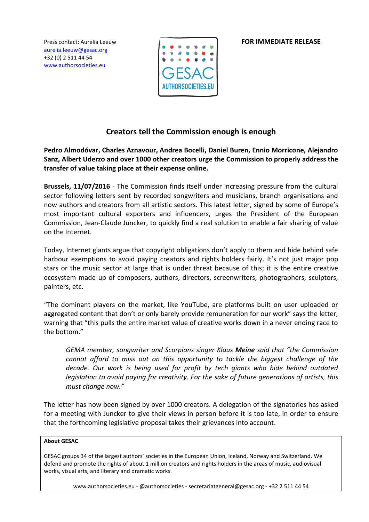Press contact: Aurelia Leeuw **FOR IMMEDIATE RELEASE** 

[aurelia.leeuw@gesac.org](mailto:aurelia.leeuw@gesac.org) +32 (0) 2 511 44 54 [www.authorsocieties.eu](http://www.authorsocieties.eu/)



# **Creators tell the Commission enough is enough**

**Pedro Almodóvar, Charles Aznavour, Andrea Bocelli, Daniel Buren, Ennio Morricone, Alejandro Sanz, Albert Uderzo and over 1000 other creators urge the Commission to properly address the transfer of value taking place at their expense online.**

**Brussels, 11/07/2016** - The Commission finds itself under increasing pressure from the cultural sector following letters sent by recorded songwriters and musicians, branch organisations and now authors and creators from all artistic sectors. This latest letter, signed by some of Europe's most important cultural exporters and influencers, urges the President of the European Commission, Jean-Claude Juncker, to quickly find a real solution to enable a fair sharing of value on the Internet.

Today, Internet giants argue that copyright obligations don't apply to them and hide behind safe harbour exemptions to avoid paying creators and rights holders fairly. It's not just major pop stars or the music sector at large that is under threat because of this; it is the entire creative ecosystem made up of composers, authors, directors, screenwriters, photographers, sculptors, painters, etc.

"The dominant players on the market, like YouTube, are platforms built on user uploaded or aggregated content that don't or only barely provide remuneration for our work" says the letter, warning that "this pulls the entire market value of creative works down in a never ending race to the bottom."

*GEMA member, songwriter and Scorpions singer Klaus Meine said that "the Commission cannot afford to miss out on this opportunity to tackle the biggest challenge of the decade. Our work is being used for profit by tech giants who hide behind outdated legislation to avoid paying for creativity. For the sake of future generations of artists, this must change now."*

The letter has now been signed by over 1000 creators. A delegation of the signatories has asked for a meeting with Juncker to give their views in person before it is too late, in order to ensure that the forthcoming legislative proposal takes their grievances into account.

# **About GESAC**

GESAC groups 34 of the largest authors' societies in the European Union, Iceland, Norway and Switzerland. We defend and promote the rights of about 1 million creators and rights holders in the areas of music, audiovisual works, visual arts, and literary and dramatic works.

www.authorsocieties.eu - @authorsocieties - secretariatgeneral@gesac.org - +32 2 511 44 54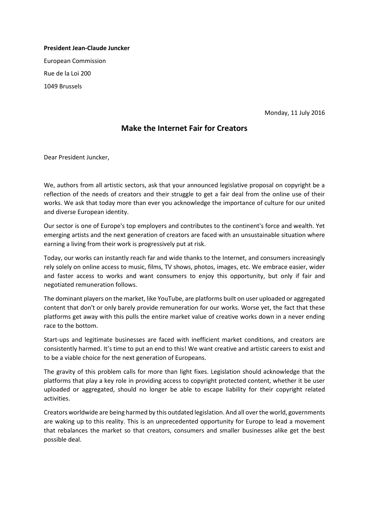**President Jean-Claude Juncker** European Commission Rue de la Loi 200 1049 Brussels

Monday, 11 July 2016

# **Make the Internet Fair for Creators**

Dear President Juncker,

We, authors from all artistic sectors, ask that your announced legislative proposal on copyright be a reflection of the needs of creators and their struggle to get a fair deal from the online use of their works. We ask that today more than ever you acknowledge the importance of culture for our united and diverse European identity.

Our sector is one of Europe's top employers and contributes to the continent's force and wealth. Yet emerging artists and the next generation of creators are faced with an unsustainable situation where earning a living from their work is progressively put at risk.

Today, our works can instantly reach far and wide thanks to the Internet, and consumers increasingly rely solely on online access to music, films, TV shows, photos, images, etc. We embrace easier, wider and faster access to works and want consumers to enjoy this opportunity, but only if fair and negotiated remuneration follows.

The dominant players on the market, like YouTube, are platforms built on user uploaded or aggregated content that don't or only barely provide remuneration for our works. Worse yet, the fact that these platforms get away with this pulls the entire market value of creative works down in a never ending race to the bottom.

Start-ups and legitimate businesses are faced with inefficient market conditions, and creators are consistently harmed. It's time to put an end to this! We want creative and artistic careers to exist and to be a viable choice for the next generation of Europeans.

The gravity of this problem calls for more than light fixes. Legislation should acknowledge that the platforms that play a key role in providing access to copyright protected content, whether it be user uploaded or aggregated, should no longer be able to escape liability for their copyright related activities.

Creators worldwide are being harmed by this outdated legislation. And all over the world, governments are waking up to this reality. This is an unprecedented opportunity for Europe to lead a movement that rebalances the market so that creators, consumers and smaller businesses alike get the best possible deal.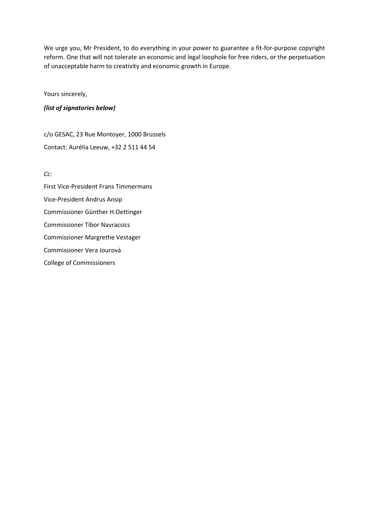We urge you, Mr President, to do everything in your power to guarantee a fit-for-purpose copyright reform. One that will not tolerate an economic and legal loophole for free riders, or the perpetuation of unacceptable harm to creativity and economic growth in Europe.

Yours sincerely,

## *(list of signatories below)*

c/o GESAC, 23 Rue Montoyer, 1000 Brussels Contact: Aurélia Leeuw, +32 2 511 44 54

*Cc:*

First Vice-President Frans Timmermans Vice-President Andrus Ansip Commissioner Günther H.Oettinger Commissioner Tibor Navracsics Commissioner Margrethe Vestager Commissioner Vera Jourová College of Commissioners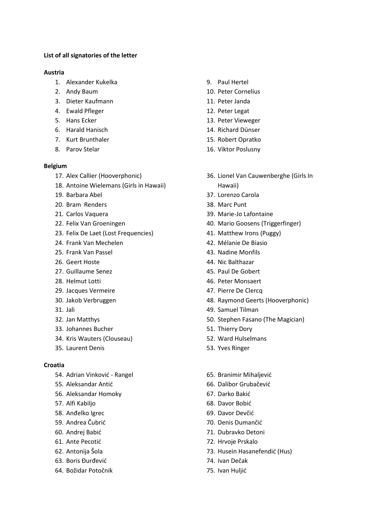## **List of all signatories of the letter**

### **Austria**

- 1. Alexander Kukelka
- 2. Andy Baum
- 3. Dieter Kaufmann
- 4. Ewald Pfleger
- 5. Hans Ecker
- 6. Harald Hanisch
- 7. Kurt Brunthaler
- 8. Parov Stelar

## **Belgium**

- 17. Alex Callier (Hooverphonic)
- 18. Antoine Wielemans (Girls in Hawaii)
- 19. Barbara Abel
- 20. Bram Renders
- 21. Carlos Vaquera
- 22. Felix Van Groeningen
- 23. Felix De Laet (Lost Frequencies)
- 24. Frank Van Mechelen
- 25. Frank Van Passel
- 26. Geert Hoste
- 27. Guillaume Senez
- 28. Helmut Lotti
- 29. Jacques Vermeire
- 30. Jakob Verbruggen
- 31. Jali
- 32. Jan Matthys
- 33. Johannes Bucher
- 34. Kris Wauters (Clouseau)
- 35. Laurent Denis

## **Croatia**

- 54. Adrian Vinković Rangel
- 55. Aleksandar Antić
- 56. Aleksandar Homoky
- 57. Alfi Kabiljo
- 58. Anđelko Igrec
- 59. Andrea Čubrić
- 60. Andrej Babić
- 61. Ante Pecotić
- 62. Antonija Šola
- 63. Boris Đurđević
- 64. Božidar Potočnik
- 9. Paul Hertel
- 10. Peter Cornelius
- 11. Peter Janda
- 12. Peter Legat
- 13. Peter Vieweger
- 14. Richard Dünser
- 15. Robert Opratko
- 16. Viktor Poslusny
- 36. Lionel Van Cauwenberghe (Girls In Hawaii)
- 37. Lorenzo Carola
- 38. Marc Punt
- 39. Marie-Jo Lafontaine
- 40. Mario Goosens (Triggerfinger)
- 41. Matthew Irons (Puggy)
- 42. Mélanie De Biasio
- 43. Nadine Monfils
- 44. Nic Balthazar
- 45. Paul De Gobert
- 46. Peter Monsaert
- 47. Pierre De Clercq
- 48. Raymond Geerts (Hooverphonic)
- 49. Samuel Tilman
- 50. Stephen Fasano (The Magician)
- 51. Thierry Dory
- 52. Ward Hulselmans
- 53. Yves Ringer
- 65. Branimir Mihaljević
- 66. Dalibor Grubačević
- 67. Darko Bakić
- 68. Davor Bobić
- 69. Davor Devčić
- 70. Denis Dumančić
- 71. Dubravko Detoni
- 72. Hrvoje Prskalo
- 73. Husein Hasanefendić (Hus)
- 74. Ivan Dečak
- 75. Ivan Huljić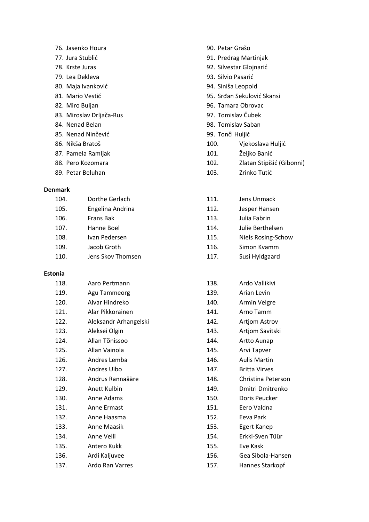- 76. Jasenko Houra
- 77. Jura Stublić
- 78. Krste Juras
- 79. Lea Dekleva
- 80. Maja Ivanković
- 81. Mario Vestić
- 82. Miro Buljan
- 83. Miroslav Drljača-Rus
- 84. Nenad Belan
- 85. Nenad Ninčević
- 86. Nikša Bratoš
- 87. Pamela Ramljak
- 88. Pero Kozomara
- 89. Petar Beluhan

## **Denmark**

| 104. | Dorthe Gerlach    | 111. | Jens Unmack       |
|------|-------------------|------|-------------------|
| 105. | Engelina Andrina  | 112. | Jesper Hansen     |
| 106. | Frans Bak         | 113. | Julia Fabrin      |
| 107. | Hanne Boel        | 114. | Julie Berthelsen  |
| 108. | Ivan Pedersen     | 115. | Niels Rosing-Scho |
| 109. | Jacob Groth       | 116. | Simon Kvamm       |
| 110. | Jens Skov Thomsen | 117. | Susi Hyldgaard    |
|      |                   |      |                   |

#### **Estonia**

| 118. | Aaro Pertmann         |
|------|-----------------------|
| 119. | Agu Tammeorg          |
| 120. | Aivar Hindreko        |
| 121. | Alar Pikkorainen      |
| 122. | Aleksandr Arhangelski |
| 123. | Aleksei Olgin         |
| 124. | Allan Tõnissoo        |
| 125. | Allan Vainola         |
| 126. | Andres Lemba          |
| 127. | Andres Uibo           |
| 128. | Andrus Rannaääre      |
| 129. | Anett Kulbin          |
| 130. | Anne Adams            |
| 131. | Anne Ermast           |
| 132. | Anne Haasma           |
| 133. | Anne Maasik           |
| 134. | Anne Velli            |
| 135. | Antero Kukk           |
| 136. | Ardi Kaljuvee         |
| 137. | Ardo Ran Varres       |

- 90. Petar Grašo
- 91. Predrag Martinjak
- 92. Silvestar Glojnarić
- 93. Silvio Pasarić
- 94. Siniša Leopold
- 95. Srđan Sekulović Skansi
- 96. Tamara Obrovac
- 97. Tomislav Čubek
- 98. Tomislav Saban
- 99. Tonči Huljić
- 100. Vjekoslava Huljić
- 101. Željko Banić
- 102. Zlatan Stipišić (Gibonni)
- 103. Zrinko Tutić

| 111. | Jens Unmack               |
|------|---------------------------|
| 112. | Jesper Hansen             |
| 113. | Julia Fabrin              |
| 114. | Julie Berthelsen          |
| 115. | <b>Niels Rosing-Schow</b> |
| 116. | Simon Kvamm               |
| 117. | Susi Hyldgaard            |
|      |                           |

| 138. | Ardo Vallikivi       |
|------|----------------------|
| 139. | Arian Levin          |
| 140. | Armin Velgre         |
| 141. | Arno Tamm            |
| 142. | <b>Artjom Astrov</b> |
| 143. | Artjom Savitski      |
| 144. | Artto Aunap          |
| 145. | Arvi Tapver          |
| 146. | Aulis Martin         |
| 147. | <b>Britta Virves</b> |
| 148. | Christina Peterson   |

- 
- 149. Dmitri Dmitrenko
- 150. Doris Peucker
- 151. Eero Valdna
- 152. Eeva Park
- 153. Egert Kanep
- 154. Erkki-Sven Tüür
- 155. Eve Kask
- 156. Gea Sibola-Hansen
- 157. Hannes Starkopf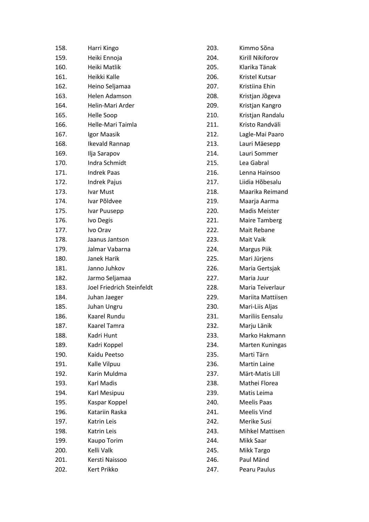| 158. | Harri Kingo               | 203. | Kimmo Sõna        |
|------|---------------------------|------|-------------------|
| 159. | Heiki Ennoja              | 204. | Kirill Nikiforov  |
| 160. | Heiki Matlik              | 205. | Klarika Tänak     |
| 161. | Heikki Kalle              | 206. | Kristel Kutsar    |
| 162. | Heino Seljamaa            | 207. | Kristiina Ehin    |
| 163. | Helen Adamson             | 208. | Kristjan Jõgeva   |
| 164. | Helin-Mari Arder          | 209. | Kristjan Kangro   |
| 165. | Helle Soop                | 210. | Kristjan Randalu  |
| 166. | Helle-Mari Taimla         | 211. | Kristo Randväli   |
| 167. | Igor Maasik               | 212. | Lagle-Mai Paaro   |
| 168. | Ikevald Rannap            | 213. | Lauri Mäesepp     |
| 169. | Ilja Sarapov              | 214. | Lauri Sommer      |
| 170. | Indra Schmidt             | 215. | Lea Gabral        |
| 171. | <b>Indrek Paas</b>        | 216. | Lenna Hainsoo     |
| 172. | <b>Indrek Pajus</b>       | 217. | Liidia Hõbesalu   |
| 173. | Ivar Must                 | 218. | Maarika Reimand   |
| 174. | Ivar Põldvee              | 219. | Maarja Aarma      |
| 175. | Ivar Puusepp              | 220. | Madis Meister     |
| 176. | Ivo Degis                 | 221. | Maire Tamberg     |
| 177. | Ivo Orav                  | 222. | Mait Rebane       |
| 178. | Jaanus Jantson            | 223. | Mait Vaik         |
| 179. | Jalmar Vabarna            | 224. | Margus Piik       |
| 180. | Janek Harik               | 225. | Mari Jürjens      |
| 181. | Janno Juhkov              | 226. | Maria Gertsjak    |
| 182. | Jarmo Seljamaa            | 227. | Maria Juur        |
| 183. | Joel Friedrich Steinfeldt | 228. | Maria Teiverlaur  |
| 184. | Juhan Jaeger              | 229. | Mariita Mattiisen |
| 185. | Juhan Ungru               | 230. | Mari-Liis Aljas   |
| 186. | <b>Kaarel Rundu</b>       | 231. | Mariliis Eensalu  |
| 187. | Kaarel Tamra              | 232. | Marju Länik       |
| 188. | Kadri Hunt                | 233. | Marko Hakmann     |
| 189. | Kadri Koppel              | 234. | Marten Kuningas   |
| 190. | Kaidu Peetso              | 235. | Marti Tärn        |
| 191. | Kalle Vilpuu              | 236. | Martin Laine      |
| 192. | Karin Muldma              | 237. | Märt-Matis Lill   |
| 193. | Karl Madis                | 238. | Mathei Florea     |
| 194. | Karl Mesipuu              | 239. | Matis Leima       |
| 195. | Kaspar Koppel             | 240. | Meelis Paas       |
| 196. | Katariin Raska            | 241. | Meelis Vind       |
| 197. | Katrin Leis               | 242. | Merike Susi       |
| 198. | Katrin Leis               | 243. | Mihkel Mattisen   |
| 199. | Kaupo Torim               | 244. | Mikk Saar         |
| 200. | Kelli Valk                | 245. | Mikk Targo        |
| 201. | Kersti Naissoo            | 246. | Paul Mänd         |
| 202. | Kert Prikko               | 247. | Pearu Paulus      |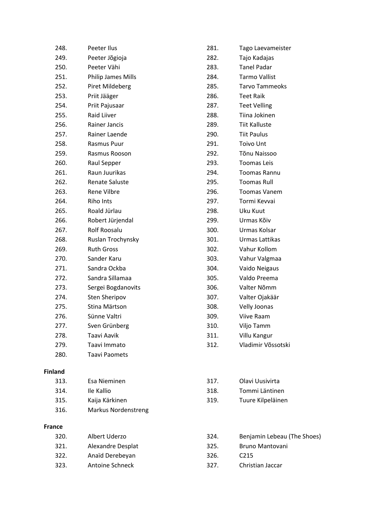| 248.           | Peeter Ilus               | 281. | Tago Laevameister     |
|----------------|---------------------------|------|-----------------------|
| 249.           | Peeter Jõgioja            | 282. | Tajo Kadajas          |
| 250.           | Peeter Vähi               | 283. | <b>Tanel Padar</b>    |
| 251.           | <b>Philip James Mills</b> | 284. | <b>Tarmo Vallist</b>  |
| 252.           | Piret Mildeberg           | 285. | <b>Tarvo Tammeoks</b> |
| 253.           | Priit Jääger              | 286. | <b>Teet Raik</b>      |
| 254.           | Priit Pajusaar            | 287. | <b>Teet Velling</b>   |
| 255.           | <b>Raid Liiver</b>        | 288. | Tiina Jokinen         |
| 256.           | Rainer Jancis             | 289. | <b>Tiit Kalluste</b>  |
| 257.           | Rainer Laende             | 290. | <b>Tiit Paulus</b>    |
| 258.           | Rasmus Puur               | 291. | <b>Toivo Unt</b>      |
| 259.           | Rasmus Rooson             | 292. | Tõnu Naissoo          |
| 260.           | Raul Sepper               | 293. | <b>Toomas Leis</b>    |
| 261.           | Raun Juurikas             | 294. | <b>Toomas Rannu</b>   |
| 262.           | <b>Renate Saluste</b>     | 295. | <b>Toomas Rull</b>    |
| 263.           | Rene Vilbre               | 296. | <b>Toomas Vanem</b>   |
| 264.           | Riho Ints                 | 297. | Tormi Kevvai          |
| 265.           | Roald Jürlau              | 298. | Uku Kuut              |
| 266.           | Robert Jürjendal          | 299. | Urmas Kõiv            |
| 267.           | Rolf Roosalu              | 300. | Urmas Kolsar          |
| 268.           | Ruslan Trochynsky         | 301. | Urmas Lattikas        |
| 269.           | <b>Ruth Gross</b>         | 302. | Vahur Kollom          |
| 270.           | Sander Karu               | 303. | Vahur Valgmaa         |
| 271.           | Sandra Ockba              | 304. | Vaido Neigaus         |
| 272.           | Sandra Sillamaa           | 305. | Valdo Preema          |
| 273.           | Sergei Bogdanovits        | 306. | Valter Nõmm           |
| 274.           | <b>Sten Sheripov</b>      | 307. | Valter Ojakäär        |
| 275.           | Stina Märtson             | 308. | Velly Joonas          |
| 276.           | Sünne Valtri              | 309. | <b>Viive Raam</b>     |
| 277.           | Sven Grünberg             | 310. | Viljo Tamm            |
| 278.           | Taavi Aavik               | 311. | Villu Kangur          |
| 279.           | Taavi Immato              | 312. | Vladimir Võssotski    |
| 280.           | <b>Taavi Paomets</b>      |      |                       |
| <b>Finland</b> |                           |      |                       |
| 313.           | Esa Nieminen              | 317. | Olavi Uusivirta       |
| 314.           | Ile Kallio                | 318. | Tommi Läntinen        |

- 319. Tuure Kilpeläinen
- 316. Markus Nordenstreng

315. Kaija Kärkinen

# **France**

| 320. | Albert Uderzo     | 324. | Benjamin Lebeau (The Shoes) |
|------|-------------------|------|-----------------------------|
| 321. | Alexandre Desplat | 325. | <b>Bruno Mantovani</b>      |
| 322. | Anaïd Derebeyan   | 326. | C <sub>215</sub>            |
| 323. | Antoine Schneck   | 327. | Christian Jaccar            |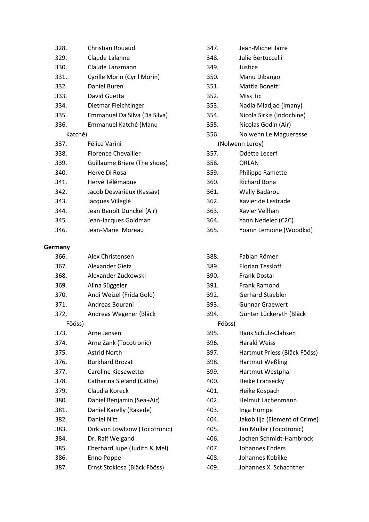| 328.    | Christian Rouaud             |
|---------|------------------------------|
| 329.    | Claude Lalanne               |
| 330.    | Claude Lanzmann              |
| 331.    | Cyrille Morin (Cyril Morin)  |
| 332.    | Daniel Buren                 |
| 333.    | David Guetta                 |
| 334.    | Dietmar Fleichtinger         |
| 335.    | Emmanuel Da Silva (Da Silva) |
| 336.    | Emmanuel Katché (Manu        |
| Katché) |                              |
| 337.    | Félice Varini                |
| 338.    | <b>Florence Chevallier</b>   |
| 339.    | Guillaume Briere (The shoes) |
| 340.    | Hervé Di Rosa                |
| 341.    | Hervé Télémaque              |
| 342.    | Jacob Desvarieux (Kassav)    |
| 343.    | Jacques Villeglé             |
| 344.    | Jean Benoît Dunckel (Air)    |
| 345.    | Jean-Jacques Goldman         |
| 346.    | Jean-Marie Moreau            |

### **Germany**

| 366.   | Alex Christensen              |
|--------|-------------------------------|
| 367.   | Alexander Gietz               |
| 368.   | Alexander Zuckowski           |
| 369.   | Alina Süggeler                |
| 370.   | Andi Weizel (Frida Gold)      |
| 371.   | Andreas Bourani               |
| 372.   | Andreas Wegener (Bläck        |
| Fööss) |                               |
| 373.   | Arne Jansen                   |
| 374.   | Arne Zank (Tocotronic)        |
| 375.   | <b>Astrid North</b>           |
| 376.   | <b>Burkhard Brozat</b>        |
| 377.   | Caroline Kiesewetter          |
| 378.   | Catharina Sieland (Cäthe)     |
| 379.   | Claudia Koreck                |
| 380.   | Daniel Benjamin (Sea+Air)     |
| 381.   | Daniel Karelly (Rakede)       |
| 382.   | <b>Daniel Nitt</b>            |
| 383.   | Dirk von Lowtzow (Tocotronic) |
| 384.   | Dr. Ralf Weigand              |
| 385.   | Eberhard Jupe (Judith & Mel)  |
| 386.   | Enno Poppe                    |
| 387.   | Ernst Stoklosa (Bläck Fööss)  |

| 347. | Jean-Michel Jarre         |
|------|---------------------------|
| 348. | Julie Bertuccelli         |
| 349. | Justice                   |
| 350. | Manu Dibango              |
| 351. | Mattia Bonetti            |
| 352. | Miss Tic                  |
| 353. | Nadia Mladjao (Imany)     |
| 354. | Nicola Sirkis (Indochine) |
| 355. | Nicolas Godin (Air)       |
| 356. | Nolwenn Le Magueresse     |
|      |                           |
|      | (Nolwenn Leroy)           |
| 357. | Odette Lecerf             |
| 358. | ORLAN                     |
| 359. | Philippe Ramette          |
| 360. | Richard Bona              |
| 361. | <b>Wally Badarou</b>      |
| 362. | Xavier de Lestrade        |
| 363. | Xavier Veilhan            |
| 364. | Yann Nedelec (C2C)        |

| 388.   | Fabian Römer                  |
|--------|-------------------------------|
| 389.   | <b>Florian Tessloff</b>       |
| 390.   | <b>Frank Dostal</b>           |
| 391.   | <b>Frank Ramond</b>           |
| 392.   | <b>Gerhard Staebler</b>       |
| 393.   | <b>Gunnar Graewert</b>        |
| 394.   | Günter Lückerath (Bläck       |
| Fööss) |                               |
| 395.   | Hans Schulz-Clahsen           |
| 396.   | Harald Weiss                  |
| 397.   | Hartmut Priess (Bläck Fööss)  |
| 398.   | <b>Hartmut Weßling</b>        |
| 399.   | Hartmut Westphal              |
| 400.   | Heike Fransecky               |
| 401.   | Heike Kospach                 |
| 402.   | Helmut Lachenmann             |
| 403.   | Inga Humpe                    |
| 404.   | Jakob Ilja (Element of Crime) |
| 405.   | Jan Müller (Tocotronic)       |
| 406.   | Jochen Schmidt-Hambrock       |
| 407.   | Johannes Enders               |
| 408.   | Johannes Kobilke              |
| 409.   | Johannes X. Schachtner        |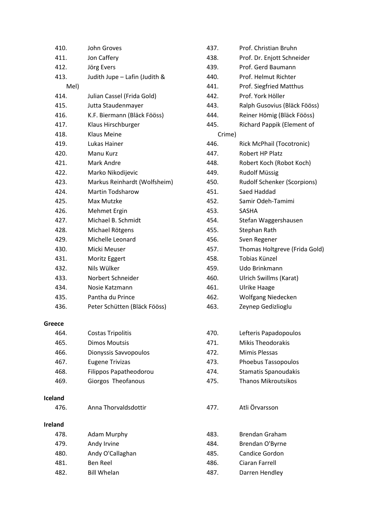| 410.           | John Groves                   | 437.   | Prof. Christian Bruhn              |
|----------------|-------------------------------|--------|------------------------------------|
| 411.           | Jon Caffery                   | 438.   | Prof. Dr. Enjott Schneider         |
| 412.           | Jörg Evers                    | 439.   | Prof. Gerd Baumann                 |
| 413.           | Judith Jupe - Lafin (Judith & | 440.   | Prof. Helmut Richter               |
| Mel)           |                               | 441.   | Prof. Siegfried Matthus            |
| 414.           | Julian Cassel (Frida Gold)    | 442.   | Prof. York Höller                  |
| 415.           | Jutta Staudenmayer            | 443.   | Ralph Gusovius (Bläck Fööss)       |
| 416.           | K.F. Biermann (Bläck Fööss)   | 444.   | Reiner Hömig (Bläck Fööss)         |
| 417.           | Klaus Hirschburger            | 445.   | Richard Pappik (Element of         |
| 418.           | <b>Klaus Meine</b>            | Crime) |                                    |
| 419.           | Lukas Hainer                  | 446.   | Rick McPhail (Tocotronic)          |
| 420.           | Manu Kurz                     | 447.   | Robert HP Platz                    |
| 421.           | Mark Andre                    | 448.   | Robert Koch (Robot Koch)           |
| 422.           | Marko Nikodijevic             | 449.   | <b>Rudolf Müssig</b>               |
| 423.           | Markus Reinhardt (Wolfsheim)  | 450.   | <b>Rudolf Schenker (Scorpions)</b> |
| 424.           | <b>Martin Todsharow</b>       | 451.   | Saed Haddad                        |
| 425.           | Max Mutzke                    | 452.   | Samir Odeh-Tamimi                  |
| 426.           | Mehmet Ergin                  | 453.   | SASHA                              |
| 427.           | Michael B. Schmidt            | 454.   | Stefan Waggershausen               |
| 428.           | Michael Rötgens               | 455.   | Stephan Rath                       |
| 429.           | Michelle Leonard              | 456.   | Sven Regener                       |
| 430.           | Micki Meuser                  | 457.   | Thomas Holtgreve (Frida Gold)      |
| 431.           | Moritz Eggert                 | 458.   | Tobias Künzel                      |
| 432.           | Nils Wülker                   | 459.   | Udo Brinkmann                      |
| 433.           | Norbert Schneider             | 460.   | Ulrich Swillms (Karat)             |
| 434.           | Nosie Katzmann                | 461.   | <b>Ulrike Haage</b>                |
| 435.           | Pantha du Prince              | 462.   | Wolfgang Niedecken                 |
| 436.           | Peter Schütten (Bläck Fööss)  | 463.   | Zeynep Gedizlioglu                 |
| Greece         |                               |        |                                    |
| 464.           | <b>Costas Tripolitis</b>      | 470.   | Lefteris Papadopoulos              |
| 465.           | <b>Dimos Moutsis</b>          | 471.   | <b>Mikis Theodorakis</b>           |
| 466.           | Dionyssis Savvopoulos         | 472.   | Mimis Plessas                      |
| 467.           | <b>Eugene Trivizas</b>        | 473.   | Phoebus Tassopoulos                |
| 468.           | Filippos Papatheodorou        | 474.   | <b>Stamatis Spanoudakis</b>        |
| 469.           | Giorgos Theofanous            | 475.   | <b>Thanos Mikroutsikos</b>         |
| <b>Iceland</b> |                               |        |                                    |
| 476.           | Anna Thorvaldsdottir          | 477.   | Atli Örvarsson                     |
| <b>Ireland</b> |                               |        |                                    |
| 478.           | <b>Adam Murphy</b>            | 483.   | <b>Brendan Graham</b>              |
| 479.           | Andy Irvine                   | 484.   | Brendan O'Byrne                    |
| 480.           | Andy O'Callaghan              | 485.   | Candice Gordon                     |
| 481.           | <b>Ben Reel</b>               | 486.   | <b>Ciaran Farrell</b>              |
| 482.           | <b>Bill Whelan</b>            | 487.   | Darren Hendley                     |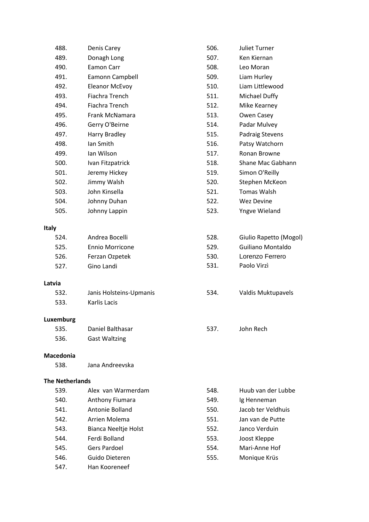| 488.                   | Denis Carey             | 506. | <b>Juliet Turner</b>     |
|------------------------|-------------------------|------|--------------------------|
| 489.                   | Donagh Long             | 507. | Ken Kiernan              |
| 490.                   | Eamon Carr              | 508. | Leo Moran                |
| 491.                   | Eamonn Campbell         | 509. | Liam Hurley              |
| 492.                   | <b>Eleanor McEvoy</b>   | 510. | Liam Littlewood          |
| 493.                   | Fiachra Trench          | 511. | Michael Duffy            |
| 494.                   | Fiachra Trench          | 512. | Mike Kearney             |
| 495.                   | Frank McNamara          | 513. | Owen Casey               |
| 496.                   | Gerry O'Beirne          | 514. | Padar Mulvey             |
| 497.                   | Harry Bradley           | 515. | Padraig Stevens          |
| 498.                   | Ian Smith               | 516. | Patsy Watchorn           |
| 499.                   | Ian Wilson              | 517. | Ronan Browne             |
| 500.                   | Ivan Fitzpatrick        | 518. | Shane Mac Gabhann        |
| 501.                   | Jeremy Hickey           | 519. | Simon O'Reilly           |
| 502.                   | Jimmy Walsh             | 520. | Stephen McKeon           |
| 503.                   | John Kinsella           | 521. | <b>Tomas Walsh</b>       |
| 504.                   | Johnny Duhan            | 522. | Wez Devine               |
| 505.                   | Johnny Lappin           | 523. | Yngve Wieland            |
| <b>Italy</b>           |                         |      |                          |
| 524.                   | Andrea Bocelli          | 528. | Giulio Rapetto (Mogol)   |
| 525.                   | <b>Ennio Morricone</b>  | 529. | <b>Guiliano Montaldo</b> |
| 526.                   | Ferzan Ozpetek          | 530. | Lorenzo Ferrero          |
| 527.                   | Gino Landi              | 531. | Paolo Virzì              |
| Latvia                 |                         |      |                          |
| 532.                   | Janis Holsteins-Upmanis | 534. | Valdis Muktupavels       |
| 533.                   | Karlis Lacis            |      |                          |
| Luxemburg              |                         |      |                          |
| 535.                   | Daniel Balthasar        | 537. | John Rech                |
| 536.                   | <b>Gast Waltzing</b>    |      |                          |
| <b>Macedonia</b>       |                         |      |                          |
| 538.                   | Jana Andreevska         |      |                          |
| <b>The Netherlands</b> |                         |      |                          |
| 539.                   | Alex van Warmerdam      | 548. | Huub van der Lubbe       |
| 540.                   | Anthony Fiumara         | 549. | Ig Henneman              |
| 541.                   | Antonie Bolland         | 550. | Jacob ter Veldhuis       |
| 542.                   | Arrien Molema           | 551. | Jan van de Putte         |
| 543.                   | Bianca Neeltje Holst    | 552. | Janco Verduin            |
| 544.                   | Ferdi Bolland           | 553. | Joost Kleppe             |
| 545.                   | <b>Gers Pardoel</b>     | 554. | Mari-Anne Hof            |
| 546.                   | Guido Dieteren          | 555. | Monique Krüs             |
| 547.                   | Han Kooreneef           |      |                          |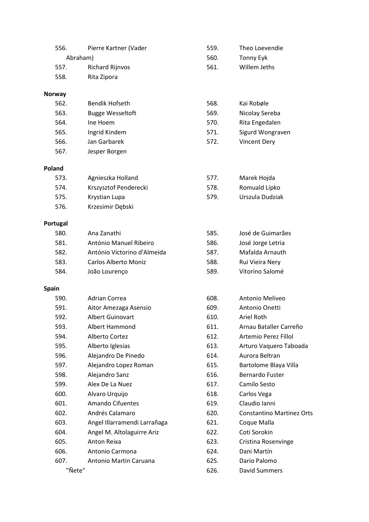| 556.          | Pierre Kartner (Vader        | 559. | Theo Loevendie                   |
|---------------|------------------------------|------|----------------------------------|
|               | Abraham)                     | 560. | Tonny Eyk                        |
| 557.          | <b>Richard Rijnvos</b>       | 561. | Willem Jeths                     |
| 558.          | Rita Zipora                  |      |                                  |
| <b>Norway</b> |                              |      |                                  |
| 562.          | <b>Bendik Hofseth</b>        | 568. | Kai Robøle                       |
| 563.          | <b>Bugge Wesseltoft</b>      | 569. | Nicolay Sereba                   |
| 564.          | Ine Hoem                     | 570. | Rita Engedalen                   |
| 565.          | Ingrid Kindem                | 571. | Sigurd Wongraven                 |
| 566.          | Jan Garbarek                 | 572. | <b>Vincent Dery</b>              |
| 567.          | Jesper Borgen                |      |                                  |
| Poland        |                              |      |                                  |
| 573.          | Agnieszka Holland            | 577. | Marek Hojda                      |
| 574.          | Krszysztof Penderecki        | 578. | Romuald Lipko                    |
| 575.          | Krystian Lupa                | 579. | Urszula Dudziak                  |
| 576.          | Krzesimir Dębski             |      |                                  |
| Portugal      |                              |      |                                  |
| 580.          | Ana Zanathi                  | 585. | José de Guimarães                |
| 581.          | António Manuel Ribeiro       | 586. | José Jorge Letria                |
| 582.          | António Victorino d'Almeida  | 587. | Mafalda Arnauth                  |
| 583.          | Carlos Alberto Moniz         | 588. | Rui Vieira Nery                  |
| 584.          | João Lourenço                | 589. | Vitorino Salomé                  |
| <b>Spain</b>  |                              |      |                                  |
| 590.          | Adrian Correa                | 608. | Antonio Meliveo                  |
| 591.          | Aitor Amezaga Asensio        | 609. | Antonio Onetti                   |
| 592.          | <b>Albert Guinovart</b>      | 610. | Ariel Roth                       |
| 593.          | Albert Hammond               | 611. | Arnau Bataller Carreño           |
| 594.          | Alberto Cortez               | 612. | Artemio Perez Fillol             |
| 595.          | Alberto Iglesias             | 613. | Arturo Vaquero Taboada           |
| 596.          | Alejandro De Pinedo          | 614. | Aurora Beltran                   |
| 597.          | Alejandro Lopez Roman        | 615. | Bartolome Blaya Villa            |
| 598.          | Alejandro Sanz               | 616. | <b>Bernardo Fuster</b>           |
| 599.          | Alex De La Nuez              | 617. | Camilo Sesto                     |
| 600.          | Alvaro Urquijo               | 618. | Carlos Vega                      |
| 601.          | Amando Cifuentes             | 619. | Claudio Ianni                    |
| 602.          | Andrés Calamaro              | 620. | <b>Constantino Martinez Orts</b> |
| 603.          | Angel Illarramendi Larrañaga | 621. | Coque Malla                      |
| 604.          | Angel M. Altolaguirre Ariz   | 622. | Coti Sorokin                     |
| 605.          | Anton Reixa                  | 623. | Cristina Rosenvinge              |
| 606.          | Antonio Carmona              | 624. | Dani Martín                      |
| 607.          | Antonio Martin Caruana       | 625. | Dario Palomo                     |
| "Nete"        |                              | 626. | David Summers                    |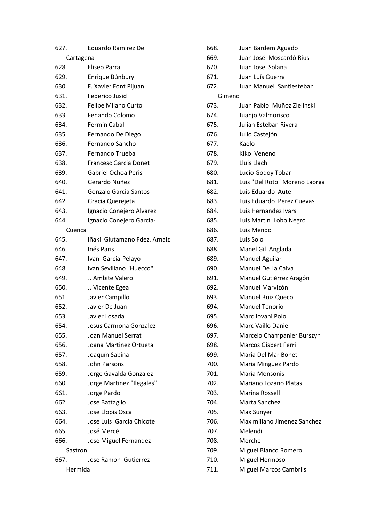| 627.      | <b>Eduardo Ramirez De</b>    |  |
|-----------|------------------------------|--|
| Cartagena |                              |  |
| 628.      | Eliseo Parra                 |  |
| 629.      | Enrique Búnbury              |  |
| 630.      | F. Xavier Font Pijuan        |  |
| 631.      | Federico Jusid               |  |
| 632.      | <b>Felipe Milano Curto</b>   |  |
| 633.      | Fenando Colomo               |  |
| 634.      | Fermín Cabal                 |  |
| 635.      | Fernando De Diego            |  |
| 636.      | Fernando Sancho              |  |
| 637.      | Fernando Trueba              |  |
| 638.      | <b>Francesc Garcia Donet</b> |  |
| 639.      | Gabriel Ochoa Peris          |  |
| 640.      | Gerardo Nuñez                |  |
| 641.      | <b>Gonzalo Garcia Santos</b> |  |
| 642.      | Gracia Querejeta             |  |
| 643.      | Ignacio Conejero Alvarez     |  |
| 644.      | Ignacio Conejero Garcia-     |  |
| Cuenca    |                              |  |
| 645.      | Iñaki Glutamano Fdez. Arnaiz |  |
| 646.      | Inés Paris                   |  |
| 647.      | Ivan Garcia-Pelayo           |  |
| 648.      | Ivan Sevillano "Huecco"      |  |
| 649.      | J. Ambite Valero             |  |
| 650.      | J. Vicente Egea              |  |
| 651.      | Javier Campillo              |  |
| 652.      | Javier De Juan               |  |
| 653.      | Javier Losada                |  |
| 654.      | Jesus Carmona Gonzalez       |  |
| 655.      | <b>Joan Manuel Serrat</b>    |  |
| 656.      | Joana Martinez Ortueta       |  |
| 657.      | Joaquín Sabina               |  |
| 658.      | John Parsons                 |  |
| 659.      | Jorge Gavalda Gonzalez       |  |
| 660.      | Jorge Martinez "Ilegales"    |  |
| 661.      | Jorge Pardo                  |  |
| 662.      | Jose Battaglio               |  |
| 663.      | Jose Llopis Osca             |  |
| 664.      | José Luis García Chicote     |  |
| 665.      | José Mercé                   |  |
| 666.      | José Miguel Fernandez-       |  |
| Sastron   |                              |  |
| 667.      | Jose Ramon Gutierrez         |  |
| Hermida   |                              |  |
|           |                              |  |

| 668.   | Juan Bardem Aguado            |
|--------|-------------------------------|
| 669.   | Juan José Moscardó Rius       |
| 670.   | Juan Jose Solana              |
| 671.   | Juan Luís Guerra              |
| 672.   | Juan Manuel Santiesteban      |
| Gimeno |                               |
| 673.   | Juan Pablo Muñoz Zielinski    |
| 674.   | Juanjo Valmorisco             |
| 675.   | Julian Esteban Rivera         |
| 676.   | Julio Castejón                |
| 677.   | Kaelo                         |
| 678.   | Kiko Veneno                   |
| 679.   | Lluis Llach                   |
| 680.   | Lucio Godoy Tobar             |
| 681.   | Luis "Del Roto" Moreno Laorga |
| 682.   | Luis Eduardo Aute             |
| 683.   | Luis Eduardo Perez Cuevas     |
| 684.   | Luis Hernandez Ivars          |
| 685.   | Luis Martin Lobo Negro        |
| 686.   | Luis Mendo                    |
| 687.   | Luis Solo                     |
| 688.   | Manel Gil Anglada             |
| 689.   | Manuel Aguilar                |
| 690.   | Manuel De La Calva            |
| 691.   | Manuel Gutiérrez Aragón       |
| 692.   | Manuel Marvizón               |
| 693.   | <b>Manuel Ruiz Queco</b>      |
| 694.   | Manuel Tenorio                |
| 695.   | Marc Jovani Polo              |
| 696.   | <b>Marc Vaillo Daniel</b>     |
| 697.   | Marcelo Champanier Burszyn    |
| 698.   | <b>Marcos Gisbert Ferri</b>   |
| 699.   | Maria Del Mar Bonet           |
| 700.   | Maria Minguez Pardo           |
| 701.   | María Monsonis                |
| 702.   | Mariano Lozano Platas         |
| 703.   | Marina Rossell                |
| 704.   | Marta Sánchez                 |
| 705.   | Max Sunyer                    |
| 706.   | Maximiliano Jimenez Sanchez   |
| 707.   | Melendi                       |
| 708.   | Merche                        |
| 709.   | Miguel Blanco Romero          |
| 710.   | Miguel Hermoso                |
| 711.   | <b>Miguel Marcos Cambrils</b> |
|        |                               |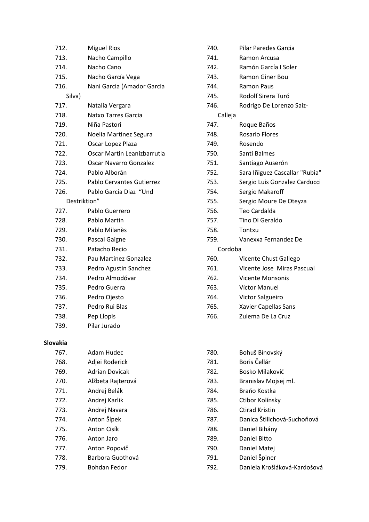| 712.         | <b>Miguel Rios</b>            |
|--------------|-------------------------------|
| 713.         | Nacho Campillo                |
| 714.         | Nacho Cano                    |
| 715.         | Nacho García Vega             |
| 716.         | Nani Garcia (Amador Garcia    |
| Silva)       |                               |
| 717.         | Natalia Vergara               |
| 718.         | Natxo Tarres Garcia           |
| 719.         | Niña Pastori                  |
| 720.         | Noelia Martinez Segura        |
| 721.         | Oscar Lopez Plaza             |
| 722.         | Oscar Martin Leanizbarrutia   |
| 723.         | <b>Oscar Navarro Gonzalez</b> |
| 724.         | Pablo Alborán                 |
| 725.         | Pablo Cervantes Gutierrez     |
| 726.         | Pablo Garcia Diaz "Und        |
| Destriktion" |                               |
| 727.         | Pablo Guerrero                |
| 728.         | Pablo Martin                  |
| 729.         | Pablo Milanès                 |
| 730.         | Pascal Gaigne                 |
| 731.         | Patacho Recio                 |
| 732.         | Pau Martinez Gonzalez         |
| 733.         | Pedro Agustin Sanchez         |
| 734.         | Pedro Almodóvar               |
| 735.         | Pedro Guerra                  |
| 736.         | Pedro Ojesto                  |
| 737.         | Pedro Rui Blas                |
| 738.         | Pep Llopis                    |
| 739.         | Pilar Jurado                  |
|              |                               |
| Slovakia     |                               |
| 767.         | Adam Hudec                    |
| 768.         | Adjei Roderick                |
| 769.         | <b>Adrian Dovicak</b>         |
| 770.         | Alžbeta Rajterová             |
| 771.         | Andrej Belák                  |
| 772.         | Andrej Karlik                 |
| 773.         | Andrej Navara                 |
| 774.         | Anton Šípek                   |
| 775.         | Anton Cisík                   |
| 776.         | Anton Jaro                    |

- 777. Anton Popovič
- 778. Barbora Guothová
- 779. Bohdan Fedor
- 740. Pilar Paredes Garcia
- 741. Ramon Arcusa
- 742. Ramón García I Soler
- 743. Ramon Giner Bou
- 744. Ramon Paus
- 745. Rodolf Sirera Turó
- 746. Rodrigo De Lorenzo Saiz-

# Calleja

- 747. Roque Baños
- 748. Rosario Flores
- 749. Rosendo
- 750. Santi Balmes
- 751. Santiago Auserón
- 752. Sara Iñiguez Cascallar "Rubia"
- 753. Sergio Luis Gonzalez Carducci
- 754. Sergio Makaroff
- 755. Sergio Moure De Oteyza
- 756. Teo Cardalda
- 757. Tino Di Geraldo
- 758. Tontxu
- 759. Vanexxa Fernandez De

# Cordoba

- 760. Vicente Chust Gallego
- 761. Vicente Jose Miras Pascual
- 762. Vicente Monsonis
- 763. Víctor Manuel
- 764. Victor Salgueiro
- 765. Xavier Capellas Sans
- 766. Zulema De La Cruz
- 780. Bohuš Bínovský 781. Boris Čellár 782. Bosko Milaković 783. Branislav Mojsej ml. 784. Braňo Kostka 785. Ctibor Kolínsky 786. Ctirad Kristin 787. Danica Štilichová-Suchoňová 788. Daniel Bihány 789. Daniel Bitto 790. Daniel Matej 791. Daniel Špiner 792. Daniela Krošláková-Kardošová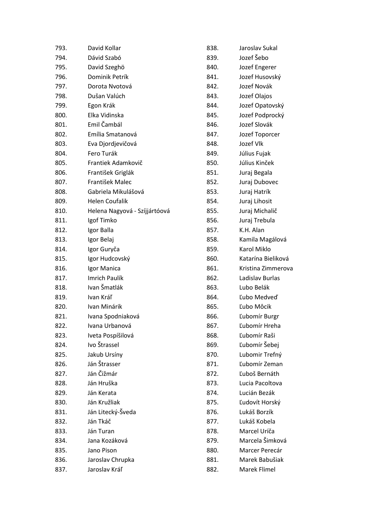| 793. | David Kollar                  | 838. | Jaroslav Sukal     |
|------|-------------------------------|------|--------------------|
| 794. | Dávid Szabó                   | 839. | Jozef Šebo         |
| 795. | David Szeghö                  | 840. | Jozef Engerer      |
| 796. | Dominik Petrík                | 841. | Jozef Husovský     |
| 797. | Dorota Nvotová                | 842. | Jozef Novák        |
| 798. | Dušan Valúch                  | 843. | Jozef Olajos       |
| 799. | Egon Krák                     | 844. | Jozef Opatovský    |
| 800. | Elka Vidinska                 | 845. | Jozef Podprocký    |
| 801. | Emil Čambál                   | 846. | Jozef Slovák       |
| 802. | Emília Smatanová              | 847. | Jozef Toporcer     |
| 803. | Eva Djordjevičová             | 848. | Jozef Vlk          |
| 804. | Fero Turák                    | 849. | Július Fujak       |
| 805. | Frantiek Adamkovič            | 850. | Július Kinček      |
| 806. | František Griglák             | 851. | Juraj Begala       |
| 807. | František Malec               | 852. | Juraj Dubovec      |
| 808. | Gabriela Mikulášová           | 853. | Juraj Hatrík       |
| 809. | <b>Helen Coufalik</b>         | 854. | Juraj Lihosit      |
| 810. | Helena Nagyová - Szíjjártóová | 855. | Juraj Michalič     |
| 811. | Igof Timko                    | 856. | Juraj Trebula      |
| 812. | Igor Balla                    | 857. | K.H. Alan          |
| 813. | Igor Belaj                    | 858. | Kamila Magálová    |
| 814. | Igor Guryča                   | 859. | Karol Miklo        |
| 815. | Igor Hudcovský                | 860. | Katarína Bieliková |
| 816. | Igor Manica                   | 861. | Kristina Zimmerova |
| 817. | <b>Imrich Paulík</b>          | 862. | Ladislav Burlas    |
| 818. | Ivan Šmatlák                  | 863. | Lubo Belák         |
| 819. | Ivan Kráľ                     | 864. | Ľubo Medveď        |
| 820. | Ivan Minárik                  | 865. | Ľubo Môcik         |
| 821. | Ivana Spodniaková             | 866. | Ľubomír Burgr      |
| 822. | Ivana Urbanová                | 867. | Ľubomír Hreha      |
| 823. | Iveta Pospíšilová             | 868. | Ľubomír Raši       |
| 824. | Ivo Štrassel                  | 869. | Ľubomír Šebej      |
| 825. | Jakub Ursíny                  | 870. | Lubomir Trefný     |
| 826. | Ján Štrasser                  | 871. | Ľubomír Zeman      |
| 827. | Ján Čižmár                    | 872. | Ľuboš Bernáth      |
| 828. | Ján Hruška                    | 873. | Lucia Pacoltova    |
| 829. | Ján Kerata                    | 874. | Lucián Bezák       |
| 830. | Ján Kružliak                  | 875. | Ľudovít Horský     |
| 831. | Ján Litecký-Šveda             | 876. | Lukáš Borzík       |
| 832. | Ján Tkáč                      | 877. | Lukáš Kobela       |
| 833. | Ján Turan                     | 878. | Marcel Uríča       |
| 834. | Jana Kozáková                 | 879. | Marcela Šimková    |
| 835. | Jano Pison                    | 880. | Marcer Perecár     |
| 836. | Jaroslav Chrupka              | 881. | Marek Babušiak     |
| 837. | Jaroslav Kráľ                 | 882. | Marek Flimel       |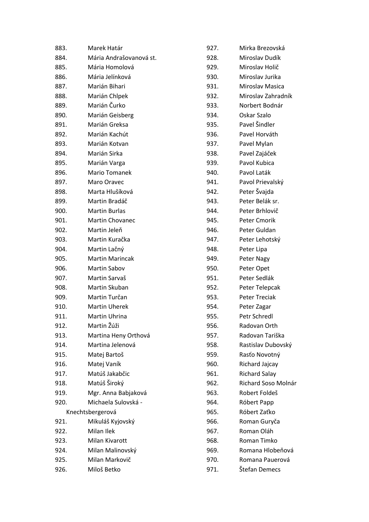| 883. | Marek Határ             | 927. |
|------|-------------------------|------|
| 884. | Mária Andrašovanová st. | 928. |
| 885. | Mária Homolová          | 929. |
| 886. | Mária Jelínková         | 930. |
| 887. | Marián Bihari           | 931. |
| 888. | Marián Chlpek           | 932. |
| 889. | Marián Čurko            | 933. |
| 890. | Marián Geisberg         | 934. |
| 891. | Marián Greksa           | 935. |
| 892. | Marián Kachút           | 936. |
| 893. | Marián Kotvan           | 937. |
| 894. | Marián Sirka            | 938. |
| 895. | Marián Varga            | 939. |
| 896. | Mario Tomanek           | 940. |
| 897. | Maro Oravec             | 941. |
| 898. | Marta Hlušíková         | 942. |
| 899. | Martin Bradáč           | 943. |
| 900. | <b>Martin Burlas</b>    | 944. |
| 901. | Martin Chovanec         | 945. |
| 902. | Martin Jeleň            | 946. |
| 903. | Martin Kuračka          | 947. |
| 904. | Martin Lačný            | 948. |
| 905. | <b>Martin Marincak</b>  | 949. |
| 906. | Martin Sabov            | 950. |
| 907. | Martin Sarvaš           | 951. |
| 908. | Martin Skuban           | 952. |
| 909. | Martin Turčan           | 953. |
| 910. | <b>Martin Uherek</b>    | 954. |
| 911. | Martin Uhrina           | 955. |
| 912. | Martin Žúži             | 956. |
| 913. | Martina Heny Orthová    | 957. |
| 914. | Martina Jelenová        | 958. |
| 915. | Matej Bartoš            | 959. |
| 916. | Matej Vaník             | 960. |
| 917. | Matúš Jakabčic          | 961. |
| 918. | Matúš Široký            | 962. |
| 919. | Mgr. Anna Babjaková     | 963. |
| 920. | Michaela Sulovská -     | 964. |
|      | Knechtsbergerová        | 965. |
| 921. | Mikuláš Kyjovský        | 966. |
| 922. | Milan Ilek              | 967. |
| 923. | Milan Kivarott          | 968. |
| 924. | Milan Malinovský        | 969. |
| 925. | Milan Markovič          | 970. |
| 926. | Miloš Betko             | 971. |

| 927. | Mirka Brezovská      |
|------|----------------------|
| 928. | Miroslav Dudík       |
| 929. | Miroslav Holič       |
| 930. | Miroslav Jurika      |
| 931. | Miroslav Masica      |
| 932. | Miroslav Zahradník   |
| 933. | Norbert Bodnár       |
| 934. | Oskar Szalo          |
| 935. | Pavel Šindler        |
| 936. | Pavel Horváth        |
| 937. | Pavel Mylan          |
| 938. | Pavel Zajáček        |
| 939. | Pavol Kubica         |
| 940. | Pavol Laták          |
| 941. | Pavol Prievalský     |
| 942. | Peter Švajda         |
| 943. | Peter Belák sr.      |
| 944. | Peter Brhlovič       |
| 945. | Peter Cmorik         |
| 946. | Peter Guldan         |
| 947. | Peter Lehotský       |
| 948. | Peter Lipa           |
| 949. | Peter Nagy           |
| 950. | Peter Opet           |
| 951. | Peter Sedlák         |
| 952. | Peter Telepcak       |
| 953. | <b>Peter Treciak</b> |
| 954. | Peter Zagar          |
| 955. | Petr Schredl         |
| 956. | Radovan Orth         |
| 957. | Radovan Tariška      |
| 958. | Rastislav Dubovský   |
| 959. | Rasťo Novotný        |
| 960. | Richard Jajcay       |
| 961. | <b>Richard Salay</b> |
| 962. | Richard Soso Molnár  |
| 963. | Robert Foldeš        |
| 964. | Róbert Papp          |
| 965. | Róbert Zaťko         |
| 966. | Roman Guryča         |
| 967. | Roman Oláh           |
| 968. | Roman Timko          |
| 969. | Romana Hlobeňová     |
| 970. | Romana Pauerová      |
| 971. | Štefan Demecs        |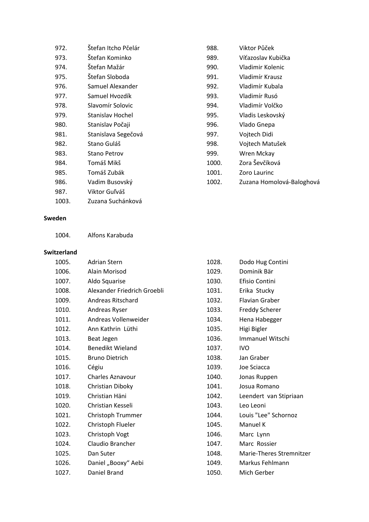| 972.  | Štefan Itcho Pčelár | 988.  | Viktor Půček              |
|-------|---------------------|-------|---------------------------|
| 973.  | Štefan Kominko      | 989.  | Víťazoslav Kubička        |
| 974.  | Štefan Mažár        | 990.  | Vladimir Kolenic          |
| 975.  | Štefan Sloboda      | 991.  | Vladimír Krausz           |
| 976.  | Samuel Alexander    | 992.  | Vladimír Kubala           |
| 977.  | Samuel Hvozdík      | 993.  | Vladimír Rusó             |
| 978.  | Slavomír Solovic    | 994.  | Vladimír Volčko           |
| 979.  | Stanislav Hochel    | 995.  | Vladis Leskovský          |
| 980.  | Stanislav Počaji    | 996.  | Vlado Gnepa               |
| 981.  | Stanislava Segečová | 997.  | Vojtech Didi              |
| 982.  | Stano Guláš         | 998.  | Vojtech Matušek           |
| 983.  | <b>Stano Petrov</b> | 999.  | Wren Mckay                |
| 984.  | Tomáš Mikš          | 1000. | Zora Ševčíková            |
| 985.  | Tomáš Zubák         | 1001. | Zoro Laurinc              |
| 986.  | Vadim Busovský      | 1002. | Zuzana Homolová-Baloghová |
| 987.  | Viktor Guľváš       |       |                           |
| 1003. | Zuzana Suchánková   |       |                           |

## **Sweden**

| 1004. | Alfons Karabuda |
|-------|-----------------|
|       |                 |

## **Switzerland**

| 1005. | <b>Adrian Stern</b>         | 1028. | Dodo Hug Contini         |
|-------|-----------------------------|-------|--------------------------|
| 1006. | Alain Morisod               | 1029. | Dominik Bär              |
| 1007. | Aldo Squarise               | 1030. | Efisio Contini           |
| 1008. | Alexander Friedrich Groebli | 1031. | Erika Stucky             |
| 1009. | Andreas Ritschard           | 1032. | <b>Flavian Graber</b>    |
| 1010. | Andreas Ryser               | 1033. | <b>Freddy Scherer</b>    |
| 1011. | Andreas Vollenweider        | 1034. | Hena Habegger            |
| 1012. | Ann Kathrin Lüthi           | 1035. | Higi Bigler              |
| 1013. | Beat Jegen                  | 1036. | <b>Immanuel Witschi</b>  |
| 1014. | <b>Benedikt Wieland</b>     | 1037. | <b>IVO</b>               |
| 1015. | <b>Bruno Dietrich</b>       | 1038. | Jan Graber               |
| 1016. | Cégiu                       | 1039. | Joe Sciacca              |
| 1017. | <b>Charles Aznavour</b>     | 1040. | Jonas Ruppen             |
| 1018. | Christian Diboky            | 1041. | Josua Romano             |
| 1019. | Christian Häni              | 1042. | Leendert van Stipriaan   |
| 1020. | Christian Kesseli           | 1043. | Leo Leoni                |
| 1021. | Christoph Trummer           | 1044. | Louis "Lee" Schornoz     |
| 1022. | Christoph Flueler           | 1045. | Manuel K                 |
| 1023. | Christoph Vogt              | 1046. | Marc Lynn                |
| 1024. | Claudio Brancher            | 1047. | Marc Rossier             |
| 1025. | Dan Suter                   | 1048. | Marie-Theres Stremnitzer |
| 1026. | Daniel "Booxy" Aebi         | 1049. | Markus Fehlmann          |
| 1027. | Daniel Brand                | 1050. | Mich Gerber              |
|       |                             |       |                          |